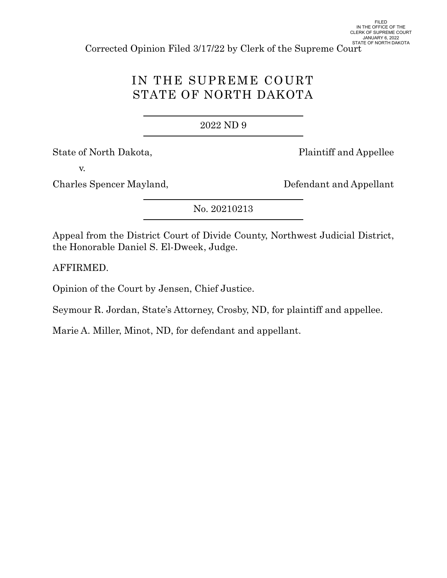Corrected Opinion Filed 3/17/22 by Clerk of the Supreme Court

# IN THE SUPREME COURT STATE OF NORTH DAKOTA

## 2022 [ND 9](https://www.ndcourts.gov/supreme-court/opinion/2022ND9)

State of North Dakota, Plaintiff and Appellee

v.

Charles Spencer Mayland, Defendant and Appellant

[No. 20210213](https://www.ndcourts.gov/supreme-court/dockets/20210213)

Appeal from the District Court of Divide County, Northwest Judicial District, the Honorable Daniel S. El-Dweek, Judge.

AFFIRMED.

Opinion of the Court by Jensen, Chief Justice.

Seymour R. Jordan, State's Attorney, Crosby, ND, for plaintiff and appellee.

Marie A. Miller, Minot, ND, for defendant and appellant.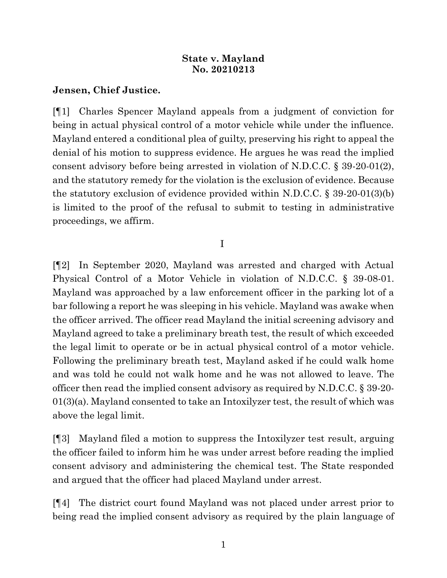## **State v. Mayland [No. 20210213](https://www.ndcourts.gov/supreme-court/dockets/20210213)**

# **Jensen, Chief Justice.**

[¶1] Charles Spencer Mayland appeals from a judgment of conviction for being in actual physical control of a motor vehicle while under the influence. Mayland entered a conditional plea of guilty, preserving his right to appeal the denial of his motion to suppress evidence. He argues he was read the implied consent advisory before being arrested in violation of N.D.C.C. § 39-20-01(2), and the statutory remedy for the violation is the exclusion of evidence. Because the statutory exclusion of evidence provided within N.D.C.C. § 39-20-01(3)(b) is limited to the proof of the refusal to submit to testing in administrative proceedings, we affirm.

# I

[¶2] In September 2020, Mayland was arrested and charged with Actual Physical Control of a Motor Vehicle in violation of N.D.C.C. § 39-08-01. Mayland was approached by a law enforcement officer in the parking lot of a bar following a report he was sleeping in his vehicle. Mayland was awake when the officer arrived. The officer read Mayland the initial screening advisory and Mayland agreed to take a preliminary breath test, the result of which exceeded the legal limit to operate or be in actual physical control of a motor vehicle. Following the preliminary breath test, Mayland asked if he could walk home and was told he could not walk home and he was not allowed to leave. The officer then read the implied consent advisory as required by N.D.C.C. § 39-20- 01(3)(a). Mayland consented to take an Intoxilyzer test, the result of which was above the legal limit.

[¶3] Mayland filed a motion to suppress the Intoxilyzer test result, arguing the officer failed to inform him he was under arrest before reading the implied consent advisory and administering the chemical test. The State responded and argued that the officer had placed Mayland under arrest.

[¶4] The district court found Mayland was not placed under arrest prior to being read the implied consent advisory as required by the plain language of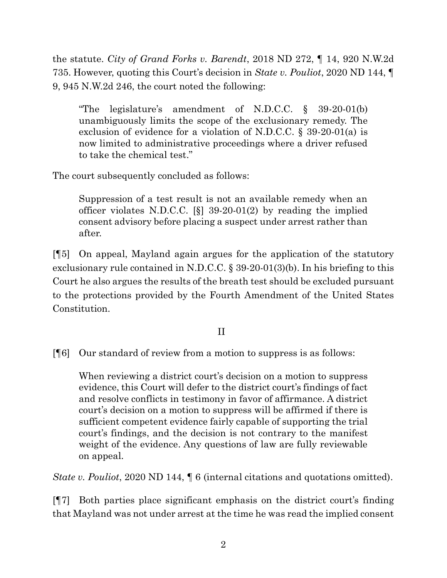the statute. *City of Grand Forks v. Barendt*, [2018 ND 272,](https://www.ndcourts.gov/supreme-court/opinion/2018ND272) ¶ 14, [920 N.W.2d](https://www.ndcourts.gov/supreme-court/opinion/920NW2d735) [735.](https://www.ndcourts.gov/supreme-court/opinion/920NW2d735) However, quoting this Court's decision in *State v. Pouliot*, [2020 ND 144,](https://www.ndcourts.gov/supreme-court/opinion/2020ND144) ¶ 9, [945 N.W.2d 246,](https://www.ndcourts.gov/supreme-court/opinion/945NW2d246) the court noted the following:

"The legislature's amendment of N.D.C.C. § 39-20-01(b) unambiguously limits the scope of the exclusionary remedy. The exclusion of evidence for a violation of N.D.C.C. § 39-20-01(a) is now limited to administrative proceedings where a driver refused to take the chemical test."

The court subsequently concluded as follows:

Suppression of a test result is not an available remedy when an officer violates N.D.C.C. [§] 39-20-01(2) by reading the implied consent advisory before placing a suspect under arrest rather than after.

[¶5] On appeal, Mayland again argues for the application of the statutory exclusionary rule contained in N.D.C.C. § 39-20-01(3)(b). In his briefing to this Court he also argues the results of the breath test should be excluded pursuant to the protections provided by the Fourth Amendment of the United States Constitution.

# II

[¶6] Our standard of review from a motion to suppress is as follows:

When reviewing a district court's decision on a motion to suppress evidence, this Court will defer to the district court's findings of fact and resolve conflicts in testimony in favor of affirmance. A district court's decision on a motion to suppress will be affirmed if there is sufficient competent evidence fairly capable of supporting the trial court's findings, and the decision is not contrary to the manifest weight of the evidence. Any questions of law are fully reviewable on appeal.

*State v. Pouliot,* [2020 ND 144,](https://www.ndcourts.gov/supreme-court/opinion/2020ND144)  $\parallel$  6 (internal citations and quotations omitted).

[¶7] Both parties place significant emphasis on the district court's finding that Mayland was not under arrest at the time he was read the implied consent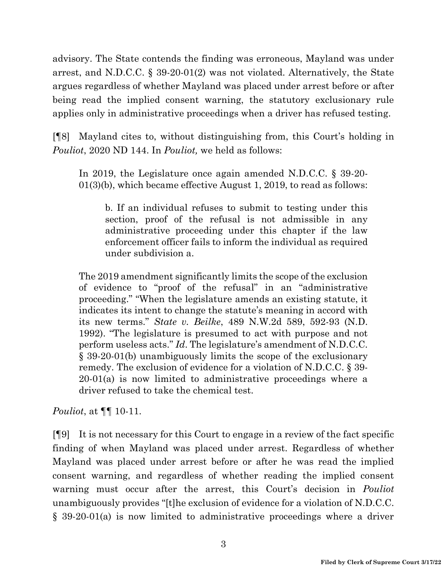advisory. The State contends the finding was erroneous, Mayland was under arrest, and N.D.C.C. § 39-20-01(2) was not violated. Alternatively, the State argues regardless of whether Mayland was placed under arrest before or after being read the implied consent warning, the statutory exclusionary rule applies only in administrative proceedings when a driver has refused testing.

[¶8] Mayland cites to, without distinguishing from, this Court's holding in *Pouliot*, [2020 ND 144.](https://www.ndcourts.gov/supreme-court/opinion/2020ND144) In *Pouliot,* we held as follows:

In 2019, the Legislature once again amended N.D.C.C. § 39-20- 01(3)(b), which became effective August 1, 2019, to read as follows:

b. If an individual refuses to submit to testing under this section, proof of the refusal is not admissible in any administrative proceeding under this chapter if the law enforcement officer fails to inform the individual as required under subdivision a.

The 2019 amendment significantly limits the scope of the exclusion of evidence to "proof of the refusal" in an "administrative proceeding." "When the legislature amends an existing statute, it indicates its intent to change the statute's meaning in accord with its new terms." *State v. Beilke*, [489 N.W.2d 589,](https://www.ndcourts.gov/supreme-court/opinion/489NW2d589) 592-93 (N.D. 1992). "The legislature is presumed to act with purpose and not perform useless acts." *Id*. The legislature's amendment of N.D.C.C. § 39-20-01(b) unambiguously limits the scope of the exclusionary remedy. The exclusion of evidence for a violation of N.D.C.C. § 39- 20-01(a) is now limited to administrative proceedings where a driver refused to take the chemical test.

*Pouliot*, at  $\P\P$  10-11.

[¶9] It is not necessary for this Court to engage in a review of the fact specific finding of when Mayland was placed under arrest. Regardless of whether Mayland was placed under arrest before or after he was read the implied consent warning, and regardless of whether reading the implied consent warning must occur after the arrest, this Court's decision in *Pouliot* unambiguously provides "[t]he exclusion of evidence for a violation of N.D.C.C. § 39-20-01(a) is now limited to administrative proceedings where a driver